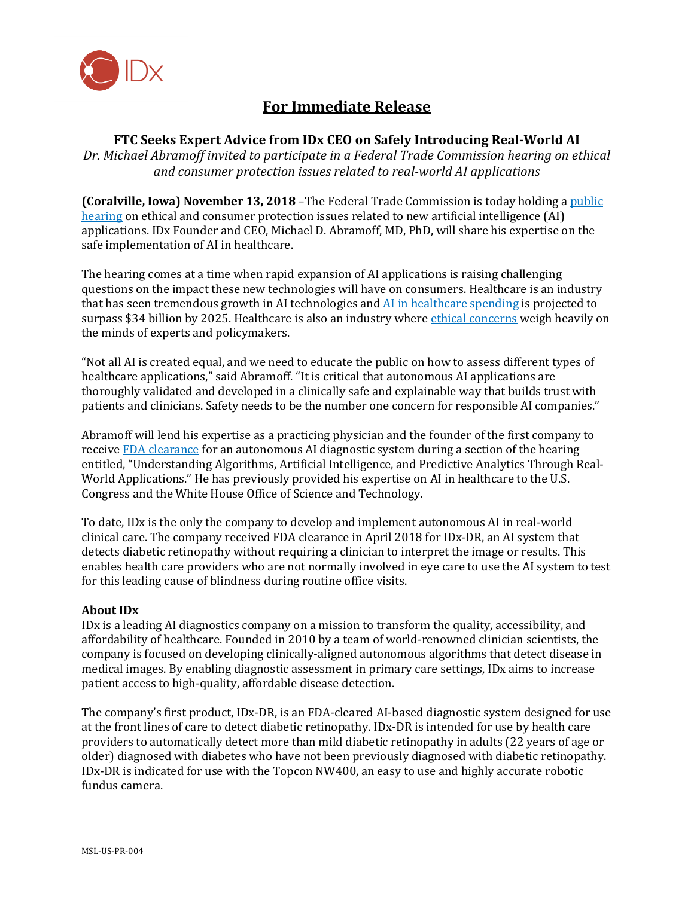

# **For Immediate Release**

# **FTC Seeks Expert Advice from IDx CEO on Safely Introducing Real-World AI**

*Dr. Michael Abramoff invited to participate in a Federal Trade Commission hearing on ethical and consumer protection issues related to real-world AI applications*

**(Coralville, Iowa) November 13, 2018** –The Federal Trade Commission is today holding a [public](https://www.ftc.gov/news-events/press-releases/2018/10/ftc-announces-agenda-seventh-session-its-hearings-competition)  [hearing](https://www.ftc.gov/news-events/press-releases/2018/10/ftc-announces-agenda-seventh-session-its-hearings-competition) on ethical and consumer protection issues related to new artificial intelligence (AI) applications. IDx Founder and CEO, Michael D. Abramoff, MD, PhD, will share his expertise on the safe implementation of AI in healthcare.

The hearing comes at a time when rapid expansion of AI applications is raising challenging questions on the impact these new technologies will have on consumers. Healthcare is an industry that has seen tremendous growth in AI technologies and [AI in healthcare spending](https://www.businesswire.com/news/home/20180827005149/en/) is projected to surpass \$34 billion by 2025. Healthcare is also an industry where *ethical concerns* weigh heavily on the minds of experts and policymakers.

"Not all AI is created equal, and we need to educate the public on how to assess different types of healthcare applications," said Abramoff. "It is critical that autonomous AI applications are thoroughly validated and developed in a clinically safe and explainable way that builds trust with patients and clinicians. Safety needs to be the number one concern for responsible AI companies."

Abramoff will lend his expertise as a practicing physician and the founder of the first company to receiv[e FDA clearance](https://www.fda.gov/newsevents/newsroom/pressannouncements/ucm604357.htm) for an autonomous AI diagnostic system during a section of the hearing entitled, "Understanding Algorithms, Artificial Intelligence, and Predictive Analytics Through Real-World Applications." He has previously provided his expertise on AI in healthcare to the U.S. Congress and the White House Office of Science and Technology.

To date, IDx is the only the company to develop and implement autonomous AI in real-world clinical care. The company received FDA clearance in April 2018 for IDx-DR, an AI system that detects diabetic retinopathy without requiring a clinician to interpret the image or results. This enables health care providers who are not normally involved in eye care to use the AI system to test for this leading cause of blindness during routine office visits.

#### **About IDx**

IDx is a leading AI diagnostics company on a mission to transform the quality, accessibility, and affordability of healthcare. Founded in 2010 by a team of world-renowned clinician scientists, the company is focused on developing clinically-aligned autonomous algorithms that detect disease in medical images. By enabling diagnostic assessment in primary care settings, IDx aims to increase patient access to high-quality, affordable disease detection.

The company's first product, IDx-DR, is an FDA-cleared AI-based diagnostic system designed for use at the front lines of care to detect diabetic retinopathy. IDx-DR is intended for use by health care providers to automatically detect more than mild diabetic retinopathy in adults (22 years of age or older) diagnosed with diabetes who have not been previously diagnosed with diabetic retinopathy. IDx-DR is indicated for use with the Topcon NW400, an easy to use and highly accurate robotic fundus camera.